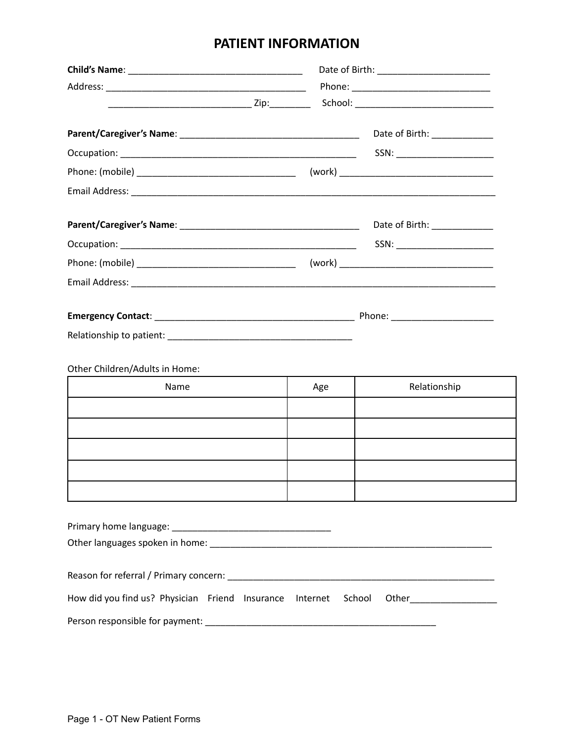## **PATIENT INFORMATION**

|                                                          |     | Date of Birth: ____________    |
|----------------------------------------------------------|-----|--------------------------------|
|                                                          |     | SSN: _________________________ |
|                                                          |     |                                |
|                                                          |     |                                |
|                                                          |     | Date of Birth: ______________  |
|                                                          |     | SSN: ________________________  |
|                                                          |     |                                |
|                                                          |     |                                |
|                                                          |     |                                |
|                                                          |     |                                |
|                                                          |     |                                |
| Other Children/Adults in Home:                           |     |                                |
| Name                                                     | Age | Relationship                   |
|                                                          |     |                                |
|                                                          |     |                                |
|                                                          |     |                                |
|                                                          |     |                                |
|                                                          |     |                                |
|                                                          |     |                                |
|                                                          |     |                                |
|                                                          |     |                                |
|                                                          |     |                                |
|                                                          |     |                                |
| How did you find us? Physician Friend Insurance Internet |     | School                         |
|                                                          |     |                                |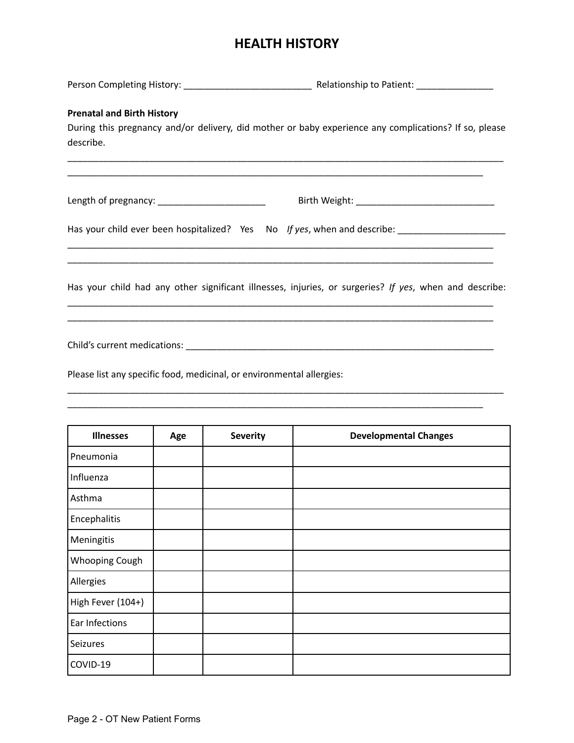# **HEALTH HISTORY**

| <b>Prenatal and Birth History</b><br>describe.                        | During this pregnancy and/or delivery, did mother or baby experience any complications? If so, please<br><u> 1989 - Johann Harry Harry Harry Harry Harry Harry Harry Harry Harry Harry Harry Harry Harry Harry Harry Harry</u> |
|-----------------------------------------------------------------------|--------------------------------------------------------------------------------------------------------------------------------------------------------------------------------------------------------------------------------|
| Length of pregnancy: __________________________                       |                                                                                                                                                                                                                                |
|                                                                       | Has your child ever been hospitalized? Yes No If yes, when and describe: __________________________                                                                                                                            |
|                                                                       | Has your child had any other significant illnesses, injuries, or surgeries? If yes, when and describe:                                                                                                                         |
|                                                                       |                                                                                                                                                                                                                                |
| Please list any specific food, medicinal, or environmental allergies: |                                                                                                                                                                                                                                |
|                                                                       |                                                                                                                                                                                                                                |

| <b>Illnesses</b>  | Age | <b>Severity</b> | <b>Developmental Changes</b> |
|-------------------|-----|-----------------|------------------------------|
| Pneumonia         |     |                 |                              |
| Influenza         |     |                 |                              |
| Asthma            |     |                 |                              |
| Encephalitis      |     |                 |                              |
| Meningitis        |     |                 |                              |
| Whooping Cough    |     |                 |                              |
| Allergies         |     |                 |                              |
| High Fever (104+) |     |                 |                              |
| Ear Infections    |     |                 |                              |
| Seizures          |     |                 |                              |
| COVID-19          |     |                 |                              |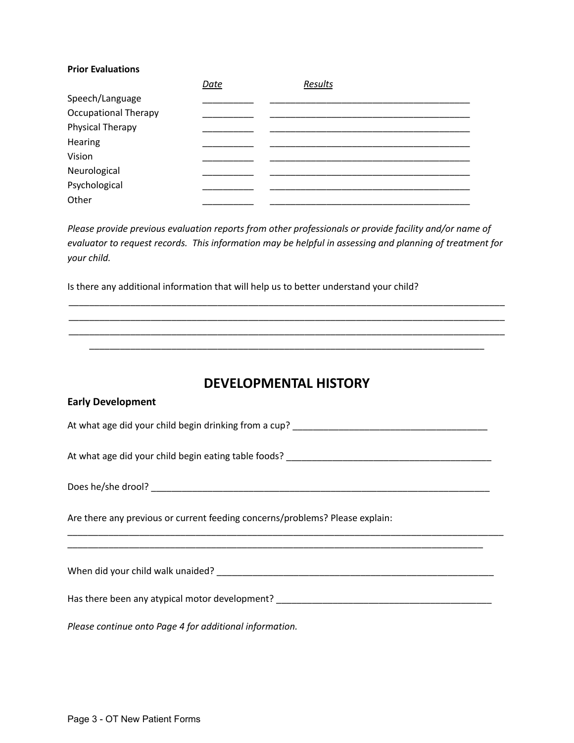#### **Prior Evaluations**

|                             | Date | Results |
|-----------------------------|------|---------|
| Speech/Language             |      |         |
| <b>Occupational Therapy</b> |      |         |
| Physical Therapy            |      |         |
| Hearing                     |      |         |
| Vision                      |      |         |
| Neurological                |      |         |
| Psychological               |      |         |
| Other                       |      |         |

*Please provide previous evaluation reports from other professionals or provide facility and/or name of evaluator to request records. This information may be helpful in assessing and planning of treatment for your child.*

\_\_\_\_\_\_\_\_\_\_\_\_\_\_\_\_\_\_\_\_\_\_\_\_\_\_\_\_\_\_\_\_\_\_\_\_\_\_\_\_\_\_\_\_\_\_\_\_\_\_\_\_\_\_\_\_\_\_\_\_\_\_\_\_\_\_\_\_\_\_\_\_\_\_\_\_\_\_\_\_\_\_\_\_\_ \_\_\_\_\_\_\_\_\_\_\_\_\_\_\_\_\_\_\_\_\_\_\_\_\_\_\_\_\_\_\_\_\_\_\_\_\_\_\_\_\_\_\_\_\_\_\_\_\_\_\_\_\_\_\_\_\_\_\_\_\_\_\_\_\_\_\_\_\_\_\_\_\_\_\_\_\_\_\_\_\_\_\_\_\_ \_\_\_\_\_\_\_\_\_\_\_\_\_\_\_\_\_\_\_\_\_\_\_\_\_\_\_\_\_\_\_\_\_\_\_\_\_\_\_\_\_\_\_\_\_\_\_\_\_\_\_\_\_\_\_\_\_\_\_\_\_\_\_\_\_\_\_\_\_\_\_\_\_\_\_\_\_\_\_\_\_\_\_\_\_ \_\_\_\_\_\_\_\_\_\_\_\_\_\_\_\_\_\_\_\_\_\_\_\_\_\_\_\_\_\_\_\_\_\_\_\_\_\_\_\_\_\_\_\_\_\_\_\_\_\_\_\_\_\_\_\_\_\_\_\_\_\_\_\_\_\_\_\_\_\_\_\_\_\_\_\_\_

Is there any additional information that will help us to better understand your child?

## **DEVELOPMENTAL HISTORY**

| <b>Early Development</b>                                                          |
|-----------------------------------------------------------------------------------|
|                                                                                   |
|                                                                                   |
|                                                                                   |
| Are there any previous or current feeding concerns/problems? Please explain:      |
|                                                                                   |
| Has there been any atypical motor development? __________________________________ |
| Please continue onto Page 4 for additional information.                           |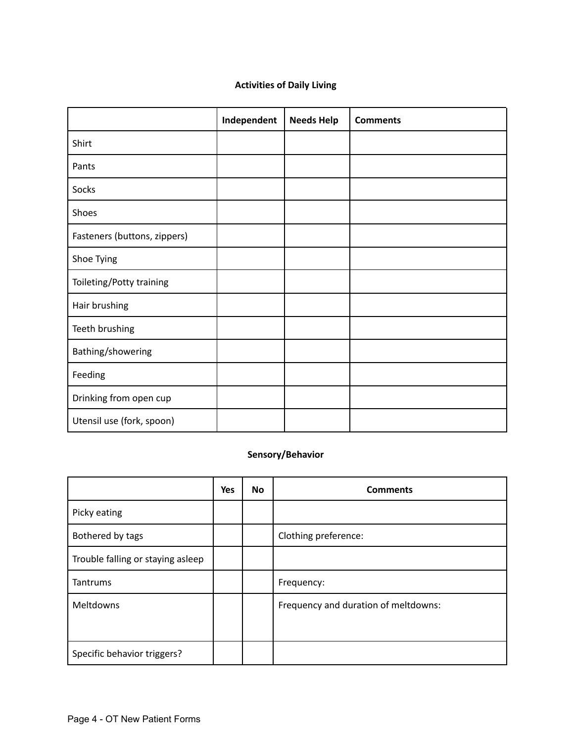#### **Activities of Daily Living**

|                              | Independent | <b>Needs Help</b> | <b>Comments</b> |
|------------------------------|-------------|-------------------|-----------------|
| Shirt                        |             |                   |                 |
| Pants                        |             |                   |                 |
| Socks                        |             |                   |                 |
| Shoes                        |             |                   |                 |
| Fasteners (buttons, zippers) |             |                   |                 |
| Shoe Tying                   |             |                   |                 |
| Toileting/Potty training     |             |                   |                 |
| Hair brushing                |             |                   |                 |
| Teeth brushing               |             |                   |                 |
| Bathing/showering            |             |                   |                 |
| Feeding                      |             |                   |                 |
| Drinking from open cup       |             |                   |                 |
| Utensil use (fork, spoon)    |             |                   |                 |

#### **Sensory/Behavior**

|                                   | Yes | <b>No</b> | <b>Comments</b>                      |
|-----------------------------------|-----|-----------|--------------------------------------|
| Picky eating                      |     |           |                                      |
| Bothered by tags                  |     |           | Clothing preference:                 |
| Trouble falling or staying asleep |     |           |                                      |
| Tantrums                          |     |           | Frequency:                           |
| Meltdowns                         |     |           | Frequency and duration of meltdowns: |
| Specific behavior triggers?       |     |           |                                      |